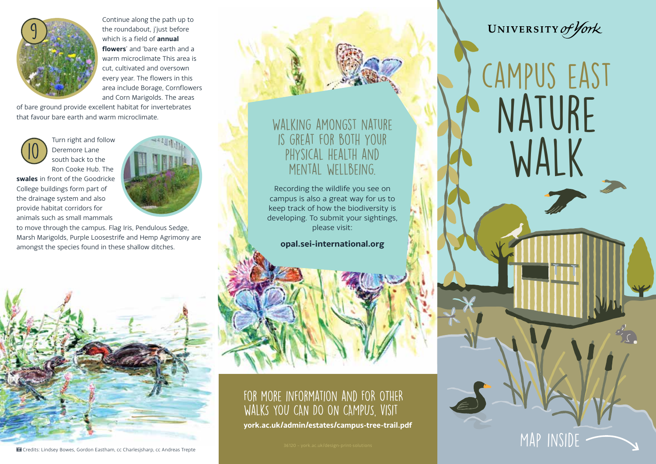

Continue along the path up to the roundabout, i'iust before which is a field of **annual flowers**' and 'bare earth and a warm microclimate This area is cut, cultivated and oversown every year. The flowers in this area include Borage, Cornflowers and Corn Marigolds. The areas

of bare ground provide excellent habitat for invertebrates that favour bare earth and warm microclimate.



Turn right and follow Deremore Lane south back to the Ron Cooke Hub. The

**swales** in front of the Goodricke College buildings form part of the drainage system and also provide habitat corridors for animals such as small mammals



to move through the campus. Flag Iris, Pendulous Sedge, Marsh Marigolds, Purple Loosestrife and Hemp Agrimony are amongst the species found in these shallow ditches.



#### Walking amongst nature is great for both your physical health and mental wellbeing.

Recording the wildlife you see on campus is also a great way for us to keep track of how the biodiversity is developing. To submit your sightings, please visit:

**opal.sei-international.org**

### For more information and FOR OTHER WALKS YOU CAN DO ON CAMPUS, VISIT

**york.ac.uk/admin/estates/campus-tree-trail.pdf**

36120 – york.ac.uk/design-print-solutions  $\blacksquare$ 

## UNIVERSITY of York

campus east NATURE walk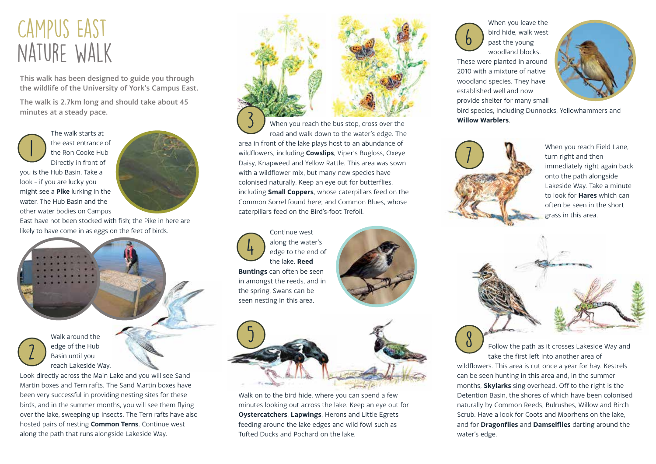# Campus East nature walk

This walk has been designed to guide you through the wildlife of the University of York's Campus East.

The walk is 2.7km long and should take about 45 minutes at a steady pace.

The walk starts at the east entrance of the Ron Cooke Hub Directly in front of

1

you is the Hub Basin. Take a look – if you are lucky you might see a **Pike** lurking in the water. The Hub Basin and the other water bodies on Campus



East have not been stocked with fish; the Pike in here are likely to have come in as eggs on the feet of birds.

Basin until you 2



Look directly across the Main Lake and you will see Sand Martin boxes and Tern rafts. The Sand Martin boxes have been very successful in providing nesting sites for these birds, and in the summer months, you will see them flying over the lake, sweeping up insects. The Tern rafts have also hosted pairs of nesting **Common Terns**. Continue west along the path that runs alongside Lakeside Way.



When you reach the bus stop, cross over the road and walk down to the water's edge. The area in front of the lake plays host to an abundance of wildflowers, including **Cowslips**, Viper's Bugloss, Oxeye Daisy, Knapweed and Yellow Rattle. This area was sown with a wildflower mix, but many new species have colonised naturally. Keep an eye out for butterflies, including **Small Coppers**, whose caterpillars feed on the Common Sorrel found here; and Common Blues, whose caterpillars feed on the Bird's-foot Trefoil. 3

Continue west along the water's edge to the end of the lake. **Reed Buntings** can often be seen in amongst the reeds, and in the spring, Swans can be seen nesting in this area. 4





Walk on to the bird hide, where you can spend a few minutes looking out across the lake. Keep an eye out for **Oystercatchers**, **Lapwings**, Herons and Little Egrets feeding around the lake edges and wild fowl such as Tufted Ducks and Pochard on the lake.

6

When you leave the bird hide, walk west past the young woodland blocks. These were planted in around 2010 with a mixture of native woodland species. They have



bird species, including Dunnocks, Yellowhammers and **Willow Warblers**.



8

established well and now provide shelter for many small

> When you reach Field Lane, turn right and then immediately right again back onto the path alongside Lakeside Way. Take a minute to look for **Hares** which can often be seen in the short grass in this area.

Follow the path as it crosses Lakeside Way and take the first left into another area of

wildflowers. This area is cut once a year for hay. Kestrels can be seen hunting in this area and, in the summer months, **Skylarks** sing overhead. Off to the right is the Detention Basin, the shores of which have been colonised naturally by Common Reeds, Bulrushes, Willow and Birch Scrub. Have a look for Coots and Moorhens on the lake, and for **Dragonflies** and **Damselflies** darting around the water's edge.